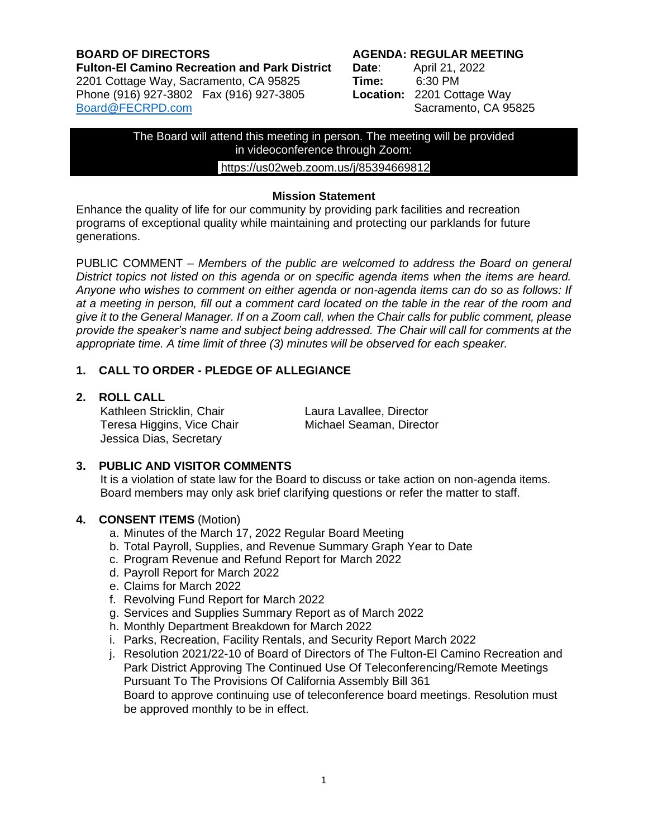#### **BOARD OF DIRECTORS AGENDA: REGULAR MEETING Fulton-El Camino Recreation and Park District Date**: April 21, 2022 2201 Cottage Way, Sacramento, CA 95825 **Time:** 6:30 PM Phone (916) 927-3802 Fax (916) 927-3805 [Board@FECRPD.com](mailto:Board@FECRPD.com) Sacramento, CA 95825

The Board will attend this meeting in person. The meeting will be provided in videoconference through Zoom:

# <https://us02web.zoom.us/j/85394669812>

#### **Mission Statement**

Enhance the quality of life for our community by providing park facilities and recreation programs of exceptional quality while maintaining and protecting our parklands for future generations.

PUBLIC COMMENT *– Members of the public are welcomed to address the Board on general District topics not listed on this agenda or on specific agenda items when the items are heard. Anyone who wishes to comment on either agenda or non-agenda items can do so as follows: If at a meeting in person, fill out a comment card located on the table in the rear of the room and give it to the General Manager. If on a Zoom call, when the Chair calls for public comment, please provide the speaker's name and subject being addressed. The Chair will call for comments at the appropriate time. A time limit of three (3) minutes will be observed for each speaker.*

# **1. CALL TO ORDER - PLEDGE OF ALLEGIANCE**

**2. ROLL CALL** 

Kathleen Stricklin, Chair **Laura Lavallee, Director** Teresa Higgins, Vice Chair Michael Seaman, Director Jessica Dias, Secretary

# **3. PUBLIC AND VISITOR COMMENTS**

 It is a violation of state law for the Board to discuss or take action on non-agenda items. Board members may only ask brief clarifying questions or refer the matter to staff.

#### **4. CONSENT ITEMS** (Motion)

- a. Minutes of the March 17, 2022 Regular Board Meeting
- b. Total Payroll, Supplies, and Revenue Summary Graph Year to Date
- c. Program Revenue and Refund Report for March 2022
- d. Payroll Report for March 2022
- e. Claims for March 2022
- f. Revolving Fund Report for March 2022
- g. Services and Supplies Summary Report as of March 2022
- h. Monthly Department Breakdown for March 2022
- i. Parks, Recreation, Facility Rentals, and Security Report March 2022
- j. Resolution 2021/22-10 of Board of Directors of The Fulton-El Camino Recreation and Park District Approving The Continued Use Of Teleconferencing/Remote Meetings Pursuant To The Provisions Of California Assembly Bill 361 Board to approve continuing use of teleconference board meetings. Resolution must be approved monthly to be in effect.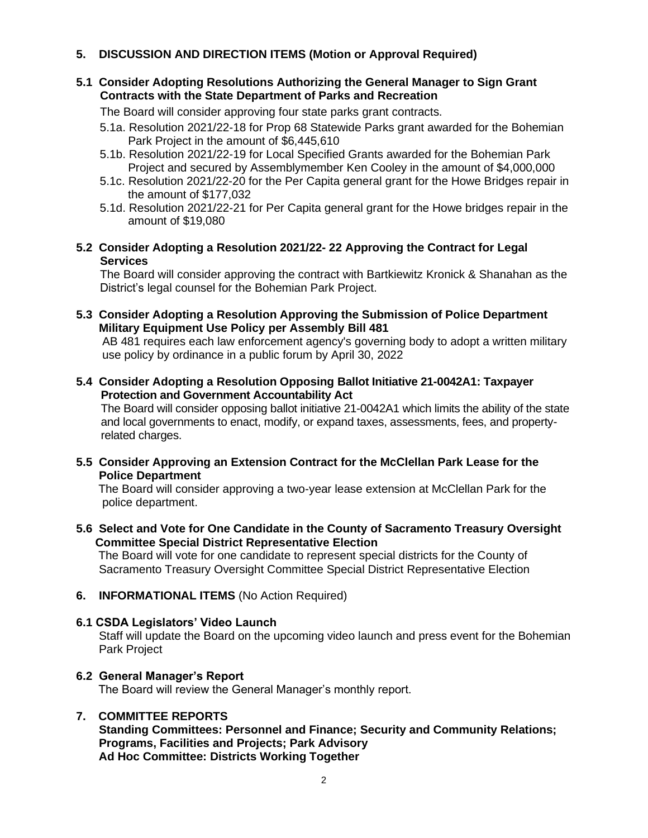# **5. DISCUSSION AND DIRECTION ITEMS (Motion or Approval Required)**

#### **5.1 Consider Adopting Resolutions Authorizing the General Manager to Sign Grant Contracts with the State Department of Parks and Recreation**

The Board will consider approving four state parks grant contracts.

- 5.1a. Resolution 2021/22-18 for Prop 68 Statewide Parks grant awarded for the Bohemian Park Project in the amount of \$6,445,610
- 5.1b. Resolution 2021/22-19 for Local Specified Grants awarded for the Bohemian Park Project and secured by Assemblymember Ken Cooley in the amount of \$4,000,000
- 5.1c. Resolution 2021/22-20 for the Per Capita general grant for the Howe Bridges repair in the amount of \$177,032
- 5.1d. Resolution 2021/22-21 for Per Capita general grant for the Howe bridges repair in the amount of \$19,080
- **5.2 Consider Adopting a Resolution 2021/22- 22 Approving the Contract for Legal Services**

The Board will consider approving the contract with Bartkiewitz Kronick & Shanahan as the District's legal counsel for the Bohemian Park Project.

**5.3 Consider Adopting a Resolution Approving the Submission of Police Department Military Equipment Use Policy per Assembly Bill 481**

 AB 481 requires each law enforcement agency's governing body to adopt a written military use policy by ordinance in a public forum by April 30, 2022

**5.4 Consider Adopting a Resolution Opposing Ballot Initiative [21-0042A](https://oag.ca.gov/system/files/initiatives/pdfs/21-0042A1%20(Taxes).pdf)1: Taxpayer Protection and Government Accountability Act**

 The Board will consider opposing ballot initiative 21-0042A1 which limits the ability of the state and local governments to enact, modify, or expand taxes, assessments, fees, and property related charges.

**5.5 Consider Approving an Extension Contract for the McClellan Park Lease for the Police Department**

The Board will consider approving a two-year lease extension at McClellan Park for the police department.

**5.6 Select and Vote for One Candidate in the County of Sacramento Treasury Oversight Committee Special District Representative Election**

The Board will vote for one candidate to represent special districts for the County of Sacramento Treasury Oversight Committee Special District Representative Election

**6. INFORMATIONAL ITEMS** (No Action Required)

#### **6.1 CSDA Legislators' Video Launch**

Staff will update the Board on the upcoming video launch and press event for the Bohemian Park Project

#### **6.2 General Manager's Report**

The Board will review the General Manager's monthly report.

# **7. COMMITTEE REPORTS**

 **Standing Committees: Personnel and Finance; Security and Community Relations; Programs, Facilities and Projects; Park Advisory Ad Hoc Committee: Districts Working Together**